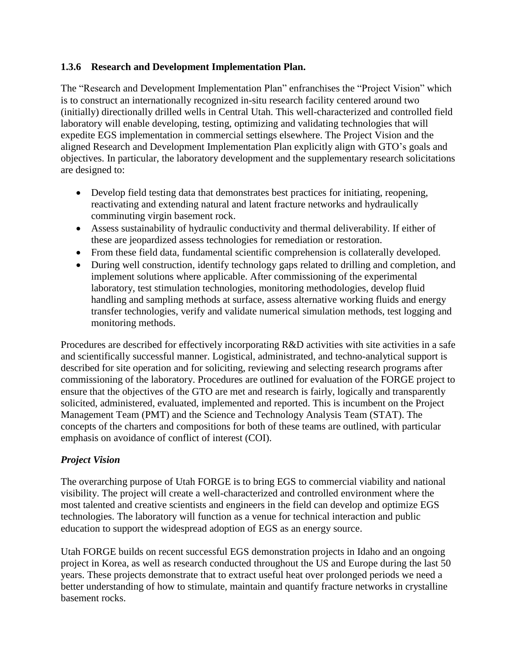#### **1.3.6 Research and Development Implementation Plan.**

The "Research and Development Implementation Plan" enfranchises the "Project Vision" which is to construct an internationally recognized in-situ research facility centered around two (initially) directionally drilled wells in Central Utah. This well-characterized and controlled field laboratory will enable developing, testing, optimizing and validating technologies that will expedite EGS implementation in commercial settings elsewhere. The Project Vision and the aligned Research and Development Implementation Plan explicitly align with GTO's goals and objectives. In particular, the laboratory development and the supplementary research solicitations are designed to:

- Develop field testing data that demonstrates best practices for initiating, reopening, reactivating and extending natural and latent fracture networks and hydraulically comminuting virgin basement rock.
- Assess sustainability of hydraulic conductivity and thermal deliverability. If either of these are jeopardized assess technologies for remediation or restoration.
- From these field data, fundamental scientific comprehension is collaterally developed.
- During well construction, identify technology gaps related to drilling and completion, and implement solutions where applicable. After commissioning of the experimental laboratory, test stimulation technologies, monitoring methodologies, develop fluid handling and sampling methods at surface, assess alternative working fluids and energy transfer technologies, verify and validate numerical simulation methods, test logging and monitoring methods.

Procedures are described for effectively incorporating R&D activities with site activities in a safe and scientifically successful manner. Logistical, administrated, and techno-analytical support is described for site operation and for soliciting, reviewing and selecting research programs after commissioning of the laboratory. Procedures are outlined for evaluation of the FORGE project to ensure that the objectives of the GTO are met and research is fairly, logically and transparently solicited, administered, evaluated, implemented and reported. This is incumbent on the Project Management Team (PMT) and the Science and Technology Analysis Team (STAT). The concepts of the charters and compositions for both of these teams are outlined, with particular emphasis on avoidance of conflict of interest (COI).

### *Project Vision*

The overarching purpose of Utah FORGE is to bring EGS to commercial viability and national visibility. The project will create a well-characterized and controlled environment where the most talented and creative scientists and engineers in the field can develop and optimize EGS technologies. The laboratory will function as a venue for technical interaction and public education to support the widespread adoption of EGS as an energy source.

Utah FORGE builds on recent successful EGS demonstration projects in Idaho and an ongoing project in Korea, as well as research conducted throughout the US and Europe during the last 50 years. These projects demonstrate that to extract useful heat over prolonged periods we need a better understanding of how to stimulate, maintain and quantify fracture networks in crystalline basement rocks.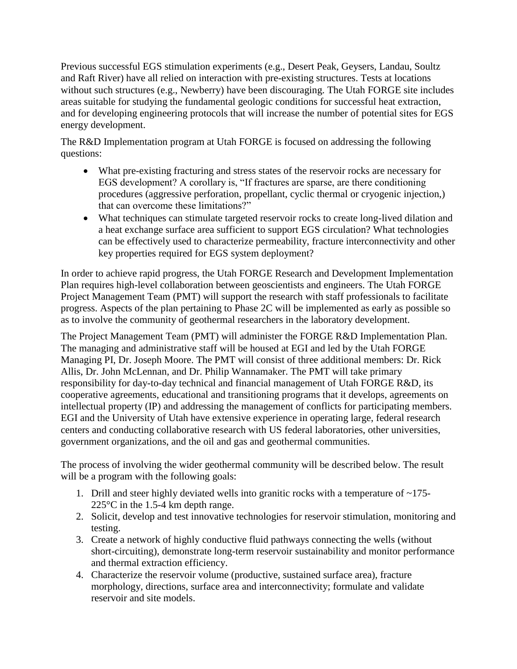Previous successful EGS stimulation experiments (e.g., Desert Peak, Geysers, Landau, Soultz and Raft River) have all relied on interaction with pre-existing structures. Tests at locations without such structures (e.g., Newberry) have been discouraging. The Utah FORGE site includes areas suitable for studying the fundamental geologic conditions for successful heat extraction, and for developing engineering protocols that will increase the number of potential sites for EGS energy development.

The R&D Implementation program at Utah FORGE is focused on addressing the following questions:

- What pre-existing fracturing and stress states of the reservoir rocks are necessary for EGS development? A corollary is, "If fractures are sparse, are there conditioning procedures (aggressive perforation, propellant, cyclic thermal or cryogenic injection,) that can overcome these limitations?"
- What techniques can stimulate targeted reservoir rocks to create long-lived dilation and a heat exchange surface area sufficient to support EGS circulation? What technologies can be effectively used to characterize permeability, fracture interconnectivity and other key properties required for EGS system deployment?

In order to achieve rapid progress, the Utah FORGE Research and Development Implementation Plan requires high-level collaboration between geoscientists and engineers. The Utah FORGE Project Management Team (PMT) will support the research with staff professionals to facilitate progress. Aspects of the plan pertaining to Phase 2C will be implemented as early as possible so as to involve the community of geothermal researchers in the laboratory development.

The Project Management Team (PMT) will administer the FORGE R&D Implementation Plan. The managing and administrative staff will be housed at EGI and led by the Utah FORGE Managing PI, Dr. Joseph Moore. The PMT will consist of three additional members: Dr. Rick Allis, Dr. John McLennan, and Dr. Philip Wannamaker. The PMT will take primary responsibility for day-to-day technical and financial management of Utah FORGE R&D, its cooperative agreements, educational and transitioning programs that it develops, agreements on intellectual property (IP) and addressing the management of conflicts for participating members. EGI and the University of Utah have extensive experience in operating large, federal research centers and conducting collaborative research with US federal laboratories, other universities, government organizations, and the oil and gas and geothermal communities.

The process of involving the wider geothermal community will be described below. The result will be a program with the following goals:

- 1. Drill and steer highly deviated wells into granitic rocks with a temperature of  $\sim$ 175-225°C in the 1.5-4 km depth range.
- 2. Solicit, develop and test innovative technologies for reservoir stimulation, monitoring and testing.
- 3. Create a network of highly conductive fluid pathways connecting the wells (without short-circuiting), demonstrate long-term reservoir sustainability and monitor performance and thermal extraction efficiency.
- 4. Characterize the reservoir volume (productive, sustained surface area), fracture morphology, directions, surface area and interconnectivity; formulate and validate reservoir and site models.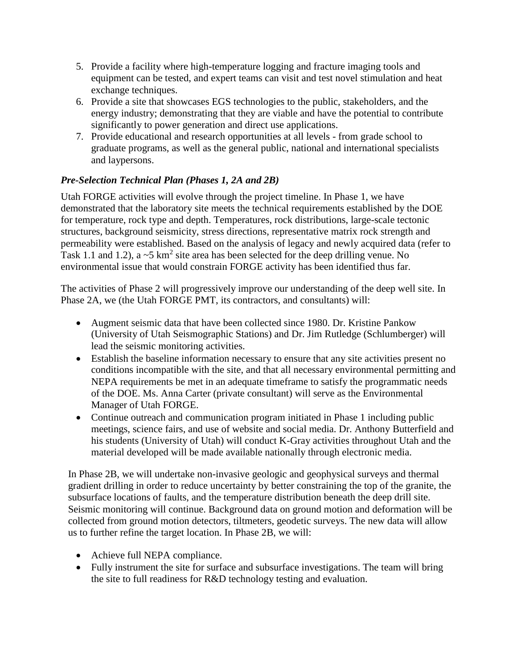- 5. Provide a facility where high-temperature logging and fracture imaging tools and equipment can be tested, and expert teams can visit and test novel stimulation and heat exchange techniques.
- 6. Provide a site that showcases EGS technologies to the public, stakeholders, and the energy industry; demonstrating that they are viable and have the potential to contribute significantly to power generation and direct use applications.
- 7. Provide educational and research opportunities at all levels from grade school to graduate programs, as well as the general public, national and international specialists and laypersons.

# *Pre-Selection Technical Plan (Phases 1, 2A and 2B)*

Utah FORGE activities will evolve through the project timeline. In Phase 1, we have demonstrated that the laboratory site meets the technical requirements established by the DOE for temperature, rock type and depth. Temperatures, rock distributions, large-scale tectonic structures, background seismicity, stress directions, representative matrix rock strength and permeability were established. Based on the analysis of legacy and newly acquired data (refer to Task 1.1 and 1.2), a  $\sim$ 5 km<sup>2</sup> site area has been selected for the deep drilling venue. No environmental issue that would constrain FORGE activity has been identified thus far.

The activities of Phase 2 will progressively improve our understanding of the deep well site. In Phase 2A, we (the Utah FORGE PMT, its contractors, and consultants) will:

- Augment seismic data that have been collected since 1980. Dr. Kristine Pankow (University of Utah Seismographic Stations) and Dr. Jim Rutledge (Schlumberger) will lead the seismic monitoring activities.
- Establish the baseline information necessary to ensure that any site activities present no conditions incompatible with the site, and that all necessary environmental permitting and NEPA requirements be met in an adequate timeframe to satisfy the programmatic needs of the DOE. Ms. Anna Carter (private consultant) will serve as the Environmental Manager of Utah FORGE.
- Continue outreach and communication program initiated in Phase 1 including public meetings, science fairs, and use of website and social media. Dr. Anthony Butterfield and his students (University of Utah) will conduct K-Gray activities throughout Utah and the material developed will be made available nationally through electronic media.

In Phase 2B, we will undertake non-invasive geologic and geophysical surveys and thermal gradient drilling in order to reduce uncertainty by better constraining the top of the granite, the subsurface locations of faults, and the temperature distribution beneath the deep drill site. Seismic monitoring will continue. Background data on ground motion and deformation will be collected from ground motion detectors, tiltmeters, geodetic surveys. The new data will allow us to further refine the target location. In Phase 2B, we will:

- Achieve full NEPA compliance.
- Fully instrument the site for surface and subsurface investigations. The team will bring the site to full readiness for R&D technology testing and evaluation.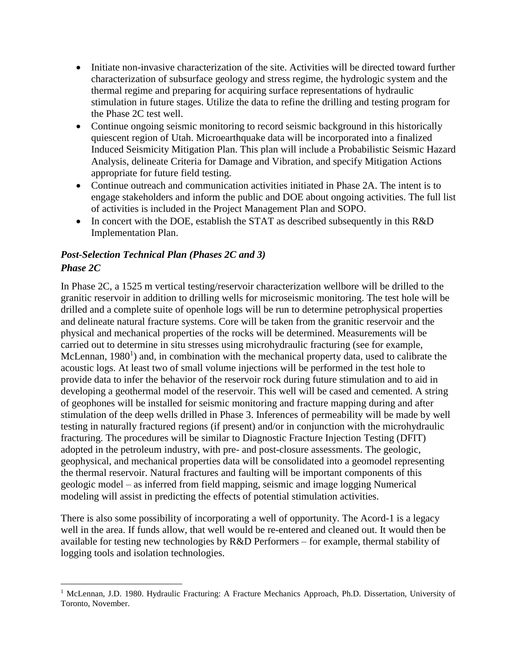- Initiate non-invasive characterization of the site. Activities will be directed toward further characterization of subsurface geology and stress regime, the hydrologic system and the thermal regime and preparing for acquiring surface representations of hydraulic stimulation in future stages. Utilize the data to refine the drilling and testing program for the Phase 2C test well.
- Continue ongoing seismic monitoring to record seismic background in this historically quiescent region of Utah. Microearthquake data will be incorporated into a finalized Induced Seismicity Mitigation Plan. This plan will include a Probabilistic Seismic Hazard Analysis, delineate Criteria for Damage and Vibration, and specify Mitigation Actions appropriate for future field testing.
- Continue outreach and communication activities initiated in Phase 2A. The intent is to engage stakeholders and inform the public and DOE about ongoing activities. The full list of activities is included in the Project Management Plan and SOPO.
- In concert with the DOE, establish the STAT as described subsequently in this R&D Implementation Plan.

# *Post-Selection Technical Plan (Phases 2C and 3) Phase 2C*

In Phase 2C, a 1525 m vertical testing/reservoir characterization wellbore will be drilled to the granitic reservoir in addition to drilling wells for microseismic monitoring. The test hole will be drilled and a complete suite of openhole logs will be run to determine petrophysical properties and delineate natural fracture systems. Core will be taken from the granitic reservoir and the physical and mechanical properties of the rocks will be determined. Measurements will be carried out to determine in situ stresses using microhydraulic fracturing (see for example, McLennan, 1980<sup>1</sup>) and, in combination with the mechanical property data, used to calibrate the acoustic logs. At least two of small volume injections will be performed in the test hole to provide data to infer the behavior of the reservoir rock during future stimulation and to aid in developing a geothermal model of the reservoir. This well will be cased and cemented. A string of geophones will be installed for seismic monitoring and fracture mapping during and after stimulation of the deep wells drilled in Phase 3. Inferences of permeability will be made by well testing in naturally fractured regions (if present) and/or in conjunction with the microhydraulic fracturing. The procedures will be similar to Diagnostic Fracture Injection Testing (DFIT) adopted in the petroleum industry, with pre- and post-closure assessments. The geologic, geophysical, and mechanical properties data will be consolidated into a geomodel representing the thermal reservoir. Natural fractures and faulting will be important components of this geologic model – as inferred from field mapping, seismic and image logging Numerical modeling will assist in predicting the effects of potential stimulation activities.

There is also some possibility of incorporating a well of opportunity. The Acord-1 is a legacy well in the area. If funds allow, that well would be re-entered and cleaned out. It would then be available for testing new technologies by R&D Performers – for example, thermal stability of logging tools and isolation technologies.

 $\overline{\phantom{a}}$ <sup>1</sup> McLennan, J.D. 1980. Hydraulic Fracturing: A Fracture Mechanics Approach, Ph.D. Dissertation, University of Toronto, November.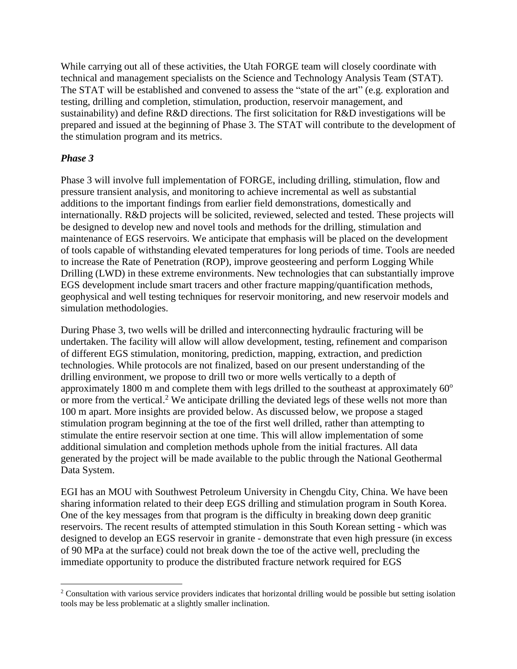While carrying out all of these activities, the Utah FORGE team will closely coordinate with technical and management specialists on the Science and Technology Analysis Team (STAT). The STAT will be established and convened to assess the "state of the art" (e.g. exploration and testing, drilling and completion, stimulation, production, reservoir management, and sustainability) and define R&D directions. The first solicitation for R&D investigations will be prepared and issued at the beginning of Phase 3. The STAT will contribute to the development of the stimulation program and its metrics.

### *Phase 3*

Phase 3 will involve full implementation of FORGE, including drilling, stimulation, flow and pressure transient analysis, and monitoring to achieve incremental as well as substantial additions to the important findings from earlier field demonstrations, domestically and internationally. R&D projects will be solicited, reviewed, selected and tested. These projects will be designed to develop new and novel tools and methods for the drilling, stimulation and maintenance of EGS reservoirs. We anticipate that emphasis will be placed on the development of tools capable of withstanding elevated temperatures for long periods of time. Tools are needed to increase the Rate of Penetration (ROP), improve geosteering and perform Logging While Drilling (LWD) in these extreme environments. New technologies that can substantially improve EGS development include smart tracers and other fracture mapping/quantification methods, geophysical and well testing techniques for reservoir monitoring, and new reservoir models and simulation methodologies.

During Phase 3, two wells will be drilled and interconnecting hydraulic fracturing will be undertaken. The facility will allow will allow development, testing, refinement and comparison of different EGS stimulation, monitoring, prediction, mapping, extraction, and prediction technologies. While protocols are not finalized, based on our present understanding of the drilling environment, we propose to drill two or more wells vertically to a depth of approximately 1800 m and complete them with legs drilled to the southeast at approximately  $60^{\circ}$ or more from the vertical.<sup>2</sup> We anticipate drilling the deviated legs of these wells not more than 100 m apart. More insights are provided below. As discussed below, we propose a staged stimulation program beginning at the toe of the first well drilled, rather than attempting to stimulate the entire reservoir section at one time. This will allow implementation of some additional simulation and completion methods uphole from the initial fractures. All data generated by the project will be made available to the public through the National Geothermal Data System.

EGI has an MOU with Southwest Petroleum University in Chengdu City, China. We have been sharing information related to their deep EGS drilling and stimulation program in South Korea. One of the key messages from that program is the difficulty in breaking down deep granitic reservoirs. The recent results of attempted stimulation in this South Korean setting - which was designed to develop an EGS reservoir in granite - demonstrate that even high pressure (in excess of 90 MPa at the surface) could not break down the toe of the active well, precluding the immediate opportunity to produce the distributed fracture network required for EGS

 $\overline{\phantom{a}}$ <sup>2</sup> Consultation with various service providers indicates that horizontal drilling would be possible but setting isolation tools may be less problematic at a slightly smaller inclination.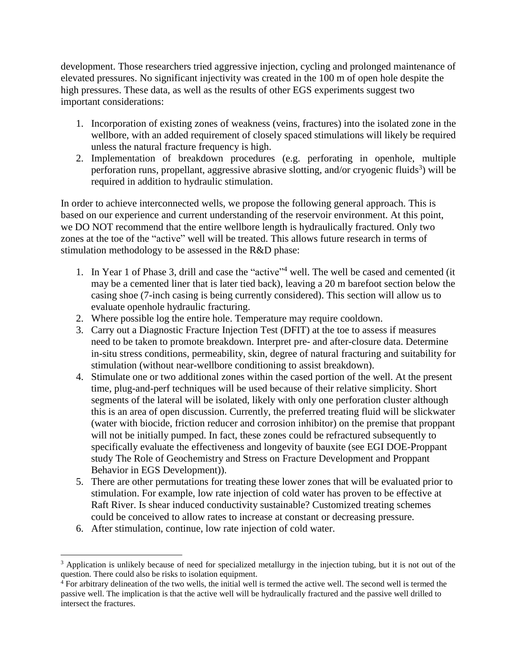development. Those researchers tried aggressive injection, cycling and prolonged maintenance of elevated pressures. No significant injectivity was created in the 100 m of open hole despite the high pressures. These data, as well as the results of other EGS experiments suggest two important considerations:

- 1. Incorporation of existing zones of weakness (veins, fractures) into the isolated zone in the wellbore, with an added requirement of closely spaced stimulations will likely be required unless the natural fracture frequency is high.
- 2. Implementation of breakdown procedures (e.g. perforating in openhole, multiple perforation runs, propellant, aggressive abrasive slotting, and/or cryogenic fluids<sup>3</sup>) will be required in addition to hydraulic stimulation.

In order to achieve interconnected wells, we propose the following general approach. This is based on our experience and current understanding of the reservoir environment. At this point, we DO NOT recommend that the entire wellbore length is hydraulically fractured. Only two zones at the toe of the "active" well will be treated. This allows future research in terms of stimulation methodology to be assessed in the R&D phase:

- 1. In Year 1 of Phase 3, drill and case the "active"<sup>4</sup> well. The well be cased and cemented (it may be a cemented liner that is later tied back), leaving a 20 m barefoot section below the casing shoe (7-inch casing is being currently considered). This section will allow us to evaluate openhole hydraulic fracturing.
- 2. Where possible log the entire hole. Temperature may require cooldown.
- 3. Carry out a Diagnostic Fracture Injection Test (DFIT) at the toe to assess if measures need to be taken to promote breakdown. Interpret pre- and after-closure data. Determine in-situ stress conditions, permeability, skin, degree of natural fracturing and suitability for stimulation (without near-wellbore conditioning to assist breakdown).
- 4. Stimulate one or two additional zones within the cased portion of the well. At the present time, plug-and-perf techniques will be used because of their relative simplicity. Short segments of the lateral will be isolated, likely with only one perforation cluster although this is an area of open discussion. Currently, the preferred treating fluid will be slickwater (water with biocide, friction reducer and corrosion inhibitor) on the premise that proppant will not be initially pumped. In fact, these zones could be refractured subsequently to specifically evaluate the effectiveness and longevity of bauxite (see EGI DOE-Proppant study The Role of Geochemistry and Stress on Fracture Development and Proppant Behavior in EGS Development)).
- 5. There are other permutations for treating these lower zones that will be evaluated prior to stimulation. For example, low rate injection of cold water has proven to be effective at Raft River. Is shear induced conductivity sustainable? Customized treating schemes could be conceived to allow rates to increase at constant or decreasing pressure.
- 6. After stimulation, continue, low rate injection of cold water.

 $\overline{a}$ <sup>3</sup> Application is unlikely because of need for specialized metallurgy in the injection tubing, but it is not out of the question. There could also be risks to isolation equipment.

 $\frac{4}{3}$  For arbitrary delineation of the two wells, the initial well is termed the active well. The second well is termed the passive well. The implication is that the active well will be hydraulically fractured and the passive well drilled to intersect the fractures.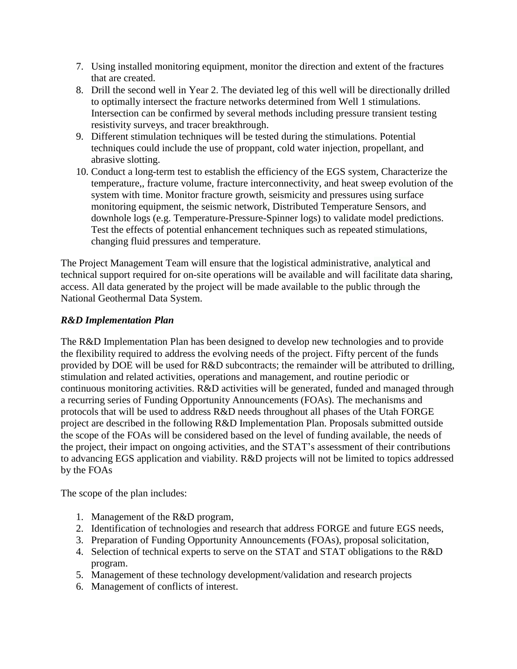- 7. Using installed monitoring equipment, monitor the direction and extent of the fractures that are created.
- 8. Drill the second well in Year 2. The deviated leg of this well will be directionally drilled to optimally intersect the fracture networks determined from Well 1 stimulations. Intersection can be confirmed by several methods including pressure transient testing resistivity surveys, and tracer breakthrough.
- 9. Different stimulation techniques will be tested during the stimulations. Potential techniques could include the use of proppant, cold water injection, propellant, and abrasive slotting.
- 10. Conduct a long-term test to establish the efficiency of the EGS system, Characterize the temperature,, fracture volume, fracture interconnectivity, and heat sweep evolution of the system with time. Monitor fracture growth, seismicity and pressures using surface monitoring equipment, the seismic network, Distributed Temperature Sensors, and downhole logs (e.g. Temperature-Pressure-Spinner logs) to validate model predictions. Test the effects of potential enhancement techniques such as repeated stimulations, changing fluid pressures and temperature.

The Project Management Team will ensure that the logistical administrative, analytical and technical support required for on-site operations will be available and will facilitate data sharing, access. All data generated by the project will be made available to the public through the National Geothermal Data System.

## *R&D Implementation Plan*

The R&D Implementation Plan has been designed to develop new technologies and to provide the flexibility required to address the evolving needs of the project. Fifty percent of the funds provided by DOE will be used for R&D subcontracts; the remainder will be attributed to drilling, stimulation and related activities, operations and management, and routine periodic or continuous monitoring activities. R&D activities will be generated, funded and managed through a recurring series of Funding Opportunity Announcements (FOAs). The mechanisms and protocols that will be used to address R&D needs throughout all phases of the Utah FORGE project are described in the following R&D Implementation Plan. Proposals submitted outside the scope of the FOAs will be considered based on the level of funding available, the needs of the project, their impact on ongoing activities, and the STAT's assessment of their contributions to advancing EGS application and viability. R&D projects will not be limited to topics addressed by the FOAs

The scope of the plan includes:

- 1. Management of the R&D program,
- 2. Identification of technologies and research that address FORGE and future EGS needs,
- 3. Preparation of Funding Opportunity Announcements (FOAs), proposal solicitation,
- 4. Selection of technical experts to serve on the STAT and STAT obligations to the R&D program.
- 5. Management of these technology development/validation and research projects
- 6. Management of conflicts of interest.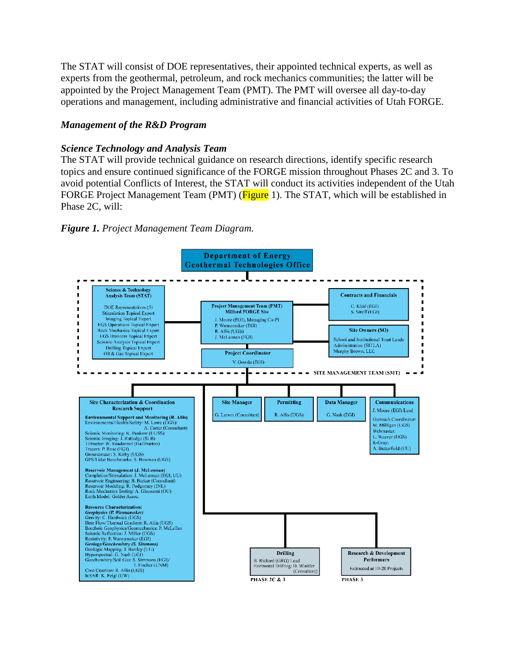The STAT will consist of DOE representatives, their appointed technical experts, as well as experts from the geothermal, petroleum, and rock mechanics communities; the latter will be appointed by the Project Management Team (PMT). The PMT will oversee all day-to-day operations and management, including administrative and financial activities of Utah FORGE.

### *Management of the R&D Program*

#### *Science Technology and Analysis Team*

The STAT will provide technical guidance on research directions, identify specific research topics and ensure continued significance of the FORGE mission throughout Phases 2C and 3. To avoid potential Conflicts of Interest, the STAT will conduct its activities independent of the Utah FORGE Project Management Team (PMT) (Figure 1). The STAT, which will be established in Phase 2C, will:



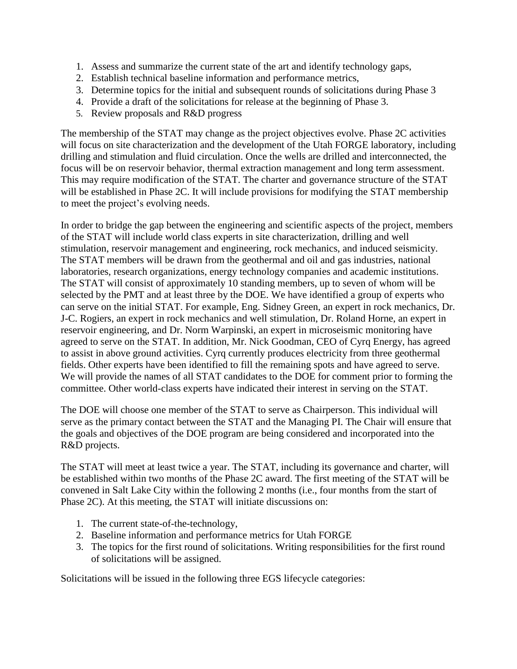- 1. Assess and summarize the current state of the art and identify technology gaps,
- 2. Establish technical baseline information and performance metrics,
- 3. Determine topics for the initial and subsequent rounds of solicitations during Phase 3
- 4. Provide a draft of the solicitations for release at the beginning of Phase 3.
- 5. Review proposals and R&D progress

The membership of the STAT may change as the project objectives evolve. Phase 2C activities will focus on site characterization and the development of the Utah FORGE laboratory, including drilling and stimulation and fluid circulation. Once the wells are drilled and interconnected, the focus will be on reservoir behavior, thermal extraction management and long term assessment. This may require modification of the STAT. The charter and governance structure of the STAT will be established in Phase 2C. It will include provisions for modifying the STAT membership to meet the project's evolving needs.

In order to bridge the gap between the engineering and scientific aspects of the project, members of the STAT will include world class experts in site characterization, drilling and well stimulation, reservoir management and engineering, rock mechanics, and induced seismicity. The STAT members will be drawn from the geothermal and oil and gas industries, national laboratories, research organizations, energy technology companies and academic institutions. The STAT will consist of approximately 10 standing members, up to seven of whom will be selected by the PMT and at least three by the DOE. We have identified a group of experts who can serve on the initial STAT. For example, Eng. Sidney Green, an expert in rock mechanics, Dr. J-C. Rogiers, an expert in rock mechanics and well stimulation, Dr. Roland Horne, an expert in reservoir engineering, and Dr. Norm Warpinski, an expert in microseismic monitoring have agreed to serve on the STAT. In addition, Mr. Nick Goodman, CEO of Cyrq Energy, has agreed to assist in above ground activities. Cyrq currently produces electricity from three geothermal fields. Other experts have been identified to fill the remaining spots and have agreed to serve. We will provide the names of all STAT candidates to the DOE for comment prior to forming the committee. Other world-class experts have indicated their interest in serving on the STAT.

The DOE will choose one member of the STAT to serve as Chairperson. This individual will serve as the primary contact between the STAT and the Managing PI. The Chair will ensure that the goals and objectives of the DOE program are being considered and incorporated into the R&D projects.

The STAT will meet at least twice a year. The STAT, including its governance and charter, will be established within two months of the Phase 2C award. The first meeting of the STAT will be convened in Salt Lake City within the following 2 months (i.e., four months from the start of Phase 2C). At this meeting, the STAT will initiate discussions on:

- 1. The current state-of-the-technology,
- 2. Baseline information and performance metrics for Utah FORGE
- 3. The topics for the first round of solicitations. Writing responsibilities for the first round of solicitations will be assigned.

Solicitations will be issued in the following three EGS lifecycle categories: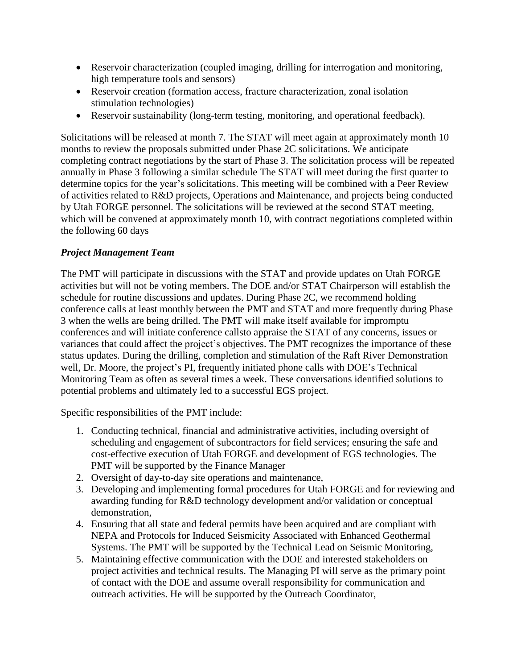- Reservoir characterization (coupled imaging, drilling for interrogation and monitoring, high temperature tools and sensors)
- Reservoir creation (formation access, fracture characterization, zonal isolation stimulation technologies)
- Reservoir sustainability (long-term testing, monitoring, and operational feedback).

Solicitations will be released at month 7. The STAT will meet again at approximately month 10 months to review the proposals submitted under Phase 2C solicitations. We anticipate completing contract negotiations by the start of Phase 3. The solicitation process will be repeated annually in Phase 3 following a similar schedule The STAT will meet during the first quarter to determine topics for the year's solicitations. This meeting will be combined with a Peer Review of activities related to R&D projects, Operations and Maintenance, and projects being conducted by Utah FORGE personnel. The solicitations will be reviewed at the second STAT meeting, which will be convened at approximately month 10, with contract negotiations completed within the following 60 days

## *Project Management Team*

The PMT will participate in discussions with the STAT and provide updates on Utah FORGE activities but will not be voting members. The DOE and/or STAT Chairperson will establish the schedule for routine discussions and updates. During Phase 2C, we recommend holding conference calls at least monthly between the PMT and STAT and more frequently during Phase 3 when the wells are being drilled. The PMT will make itself available for impromptu conferences and will initiate conference callsto appraise the STAT of any concerns, issues or variances that could affect the project's objectives. The PMT recognizes the importance of these status updates. During the drilling, completion and stimulation of the Raft River Demonstration well, Dr. Moore, the project's PI, frequently initiated phone calls with DOE's Technical Monitoring Team as often as several times a week. These conversations identified solutions to potential problems and ultimately led to a successful EGS project.

Specific responsibilities of the PMT include:

- 1. Conducting technical, financial and administrative activities, including oversight of scheduling and engagement of subcontractors for field services; ensuring the safe and cost-effective execution of Utah FORGE and development of EGS technologies. The PMT will be supported by the Finance Manager
- 2. Oversight of day-to-day site operations and maintenance,
- 3. Developing and implementing formal procedures for Utah FORGE and for reviewing and awarding funding for R&D technology development and/or validation or conceptual demonstration,
- 4. Ensuring that all state and federal permits have been acquired and are compliant with NEPA and Protocols for Induced Seismicity Associated with Enhanced Geothermal Systems. The PMT will be supported by the Technical Lead on Seismic Monitoring,
- 5. Maintaining effective communication with the DOE and interested stakeholders on project activities and technical results. The Managing PI will serve as the primary point of contact with the DOE and assume overall responsibility for communication and outreach activities. He will be supported by the Outreach Coordinator,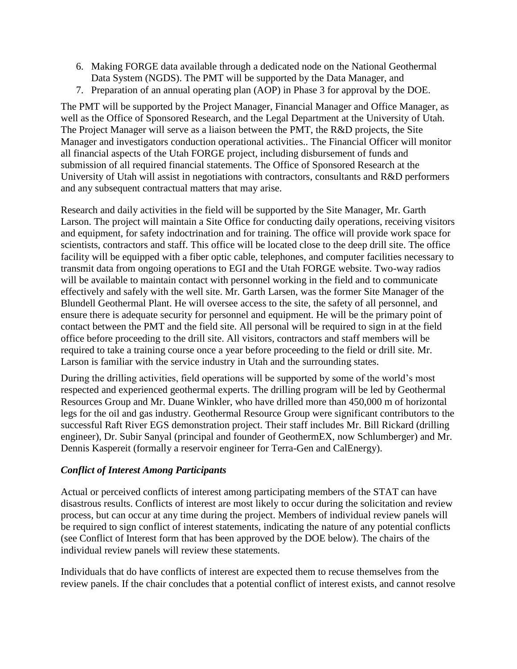- 6. Making FORGE data available through a dedicated node on the National Geothermal Data System (NGDS). The PMT will be supported by the Data Manager, and
- 7. Preparation of an annual operating plan (AOP) in Phase 3 for approval by the DOE.

The PMT will be supported by the Project Manager, Financial Manager and Office Manager, as well as the Office of Sponsored Research, and the Legal Department at the University of Utah. The Project Manager will serve as a liaison between the PMT, the R&D projects, the Site Manager and investigators conduction operational activities.. The Financial Officer will monitor all financial aspects of the Utah FORGE project, including disbursement of funds and submission of all required financial statements. The Office of Sponsored Research at the University of Utah will assist in negotiations with contractors, consultants and R&D performers and any subsequent contractual matters that may arise.

Research and daily activities in the field will be supported by the Site Manager, Mr. Garth Larson. The project will maintain a Site Office for conducting daily operations, receiving visitors and equipment, for safety indoctrination and for training. The office will provide work space for scientists, contractors and staff. This office will be located close to the deep drill site. The office facility will be equipped with a fiber optic cable, telephones, and computer facilities necessary to transmit data from ongoing operations to EGI and the Utah FORGE website. Two-way radios will be available to maintain contact with personnel working in the field and to communicate effectively and safely with the well site. Mr. Garth Larsen, was the former Site Manager of the Blundell Geothermal Plant. He will oversee access to the site, the safety of all personnel, and ensure there is adequate security for personnel and equipment. He will be the primary point of contact between the PMT and the field site. All personal will be required to sign in at the field office before proceeding to the drill site. All visitors, contractors and staff members will be required to take a training course once a year before proceeding to the field or drill site. Mr. Larson is familiar with the service industry in Utah and the surrounding states.

During the drilling activities, field operations will be supported by some of the world's most respected and experienced geothermal experts. The drilling program will be led by Geothermal Resources Group and Mr. Duane Winkler, who have drilled more than 450,000 m of horizontal legs for the oil and gas industry. Geothermal Resource Group were significant contributors to the successful Raft River EGS demonstration project. Their staff includes Mr. Bill Rickard (drilling engineer), Dr. Subir Sanyal (principal and founder of GeothermEX, now Schlumberger) and Mr. Dennis Kaspereit (formally a reservoir engineer for Terra-Gen and CalEnergy).

### *Conflict of Interest Among Participants*

Actual or perceived conflicts of interest among participating members of the STAT can have disastrous results. Conflicts of interest are most likely to occur during the solicitation and review process, but can occur at any time during the project. Members of individual review panels will be required to sign conflict of interest statements, indicating the nature of any potential conflicts (see Conflict of Interest form that has been approved by the DOE below). The chairs of the individual review panels will review these statements.

Individuals that do have conflicts of interest are expected them to recuse themselves from the review panels. If the chair concludes that a potential conflict of interest exists, and cannot resolve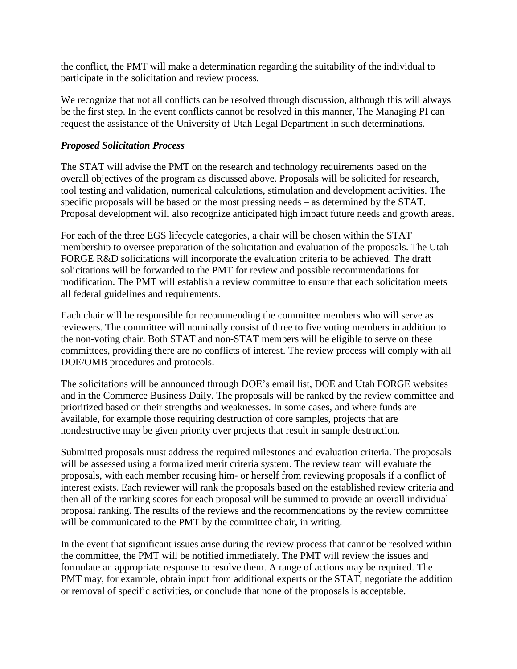the conflict, the PMT will make a determination regarding the suitability of the individual to participate in the solicitation and review process.

We recognize that not all conflicts can be resolved through discussion, although this will always be the first step. In the event conflicts cannot be resolved in this manner, The Managing PI can request the assistance of the University of Utah Legal Department in such determinations.

#### *Proposed Solicitation Process*

The STAT will advise the PMT on the research and technology requirements based on the overall objectives of the program as discussed above. Proposals will be solicited for research, tool testing and validation, numerical calculations, stimulation and development activities. The specific proposals will be based on the most pressing needs – as determined by the STAT. Proposal development will also recognize anticipated high impact future needs and growth areas.

For each of the three EGS lifecycle categories, a chair will be chosen within the STAT membership to oversee preparation of the solicitation and evaluation of the proposals. The Utah FORGE R&D solicitations will incorporate the evaluation criteria to be achieved. The draft solicitations will be forwarded to the PMT for review and possible recommendations for modification. The PMT will establish a review committee to ensure that each solicitation meets all federal guidelines and requirements.

Each chair will be responsible for recommending the committee members who will serve as reviewers. The committee will nominally consist of three to five voting members in addition to the non-voting chair. Both STAT and non-STAT members will be eligible to serve on these committees, providing there are no conflicts of interest. The review process will comply with all DOE/OMB procedures and protocols.

The solicitations will be announced through DOE's email list, DOE and Utah FORGE websites and in the Commerce Business Daily. The proposals will be ranked by the review committee and prioritized based on their strengths and weaknesses. In some cases, and where funds are available, for example those requiring destruction of core samples, projects that are nondestructive may be given priority over projects that result in sample destruction.

Submitted proposals must address the required milestones and evaluation criteria. The proposals will be assessed using a formalized merit criteria system. The review team will evaluate the proposals, with each member recusing him- or herself from reviewing proposals if a conflict of interest exists. Each reviewer will rank the proposals based on the established review criteria and then all of the ranking scores for each proposal will be summed to provide an overall individual proposal ranking. The results of the reviews and the recommendations by the review committee will be communicated to the PMT by the committee chair, in writing.

In the event that significant issues arise during the review process that cannot be resolved within the committee, the PMT will be notified immediately. The PMT will review the issues and formulate an appropriate response to resolve them. A range of actions may be required. The PMT may, for example, obtain input from additional experts or the STAT, negotiate the addition or removal of specific activities, or conclude that none of the proposals is acceptable.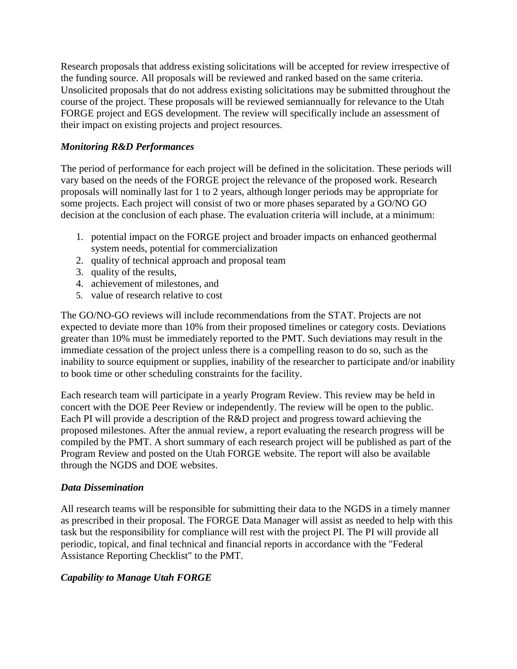Research proposals that address existing solicitations will be accepted for review irrespective of the funding source. All proposals will be reviewed and ranked based on the same criteria. Unsolicited proposals that do not address existing solicitations may be submitted throughout the course of the project. These proposals will be reviewed semiannually for relevance to the Utah FORGE project and EGS development. The review will specifically include an assessment of their impact on existing projects and project resources.

#### *Monitoring R&D Performances*

The period of performance for each project will be defined in the solicitation. These periods will vary based on the needs of the FORGE project the relevance of the proposed work. Research proposals will nominally last for 1 to 2 years, although longer periods may be appropriate for some projects. Each project will consist of two or more phases separated by a GO/NO GO decision at the conclusion of each phase. The evaluation criteria will include, at a minimum:

- 1. potential impact on the FORGE project and broader impacts on enhanced geothermal system needs, potential for commercialization
- 2. quality of technical approach and proposal team
- 3. quality of the results,
- 4. achievement of milestones, and
- 5. value of research relative to cost

The GO/NO-GO reviews will include recommendations from the STAT. Projects are not expected to deviate more than 10% from their proposed timelines or category costs. Deviations greater than 10% must be immediately reported to the PMT. Such deviations may result in the immediate cessation of the project unless there is a compelling reason to do so, such as the inability to source equipment or supplies, inability of the researcher to participate and/or inability to book time or other scheduling constraints for the facility.

Each research team will participate in a yearly Program Review. This review may be held in concert with the DOE Peer Review or independently. The review will be open to the public. Each PI will provide a description of the R&D project and progress toward achieving the proposed milestones. After the annual review, a report evaluating the research progress will be compiled by the PMT. A short summary of each research project will be published as part of the Program Review and posted on the Utah FORGE website. The report will also be available through the NGDS and DOE websites.

#### *Data Dissemination*

All research teams will be responsible for submitting their data to the NGDS in a timely manner as prescribed in their proposal. The FORGE Data Manager will assist as needed to help with this task but the responsibility for compliance will rest with the project PI. The PI will provide all periodic, topical, and final technical and financial reports in accordance with the "Federal Assistance Reporting Checklist" to the PMT.

### *Capability to Manage Utah FORGE*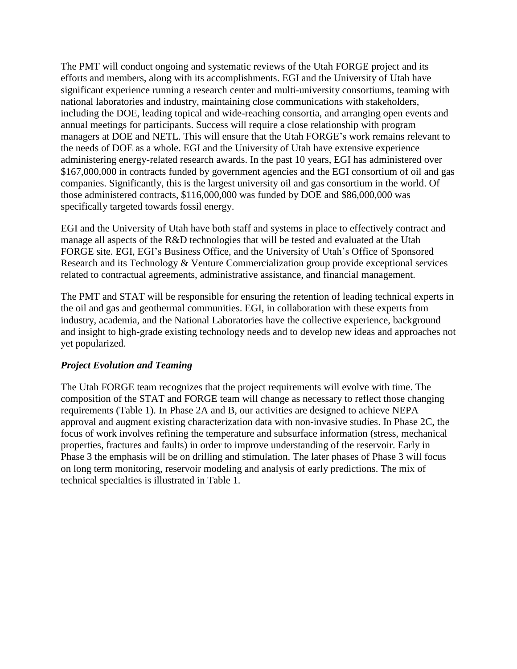The PMT will conduct ongoing and systematic reviews of the Utah FORGE project and its efforts and members, along with its accomplishments. EGI and the University of Utah have significant experience running a research center and multi-university consortiums, teaming with national laboratories and industry, maintaining close communications with stakeholders, including the DOE, leading topical and wide-reaching consortia, and arranging open events and annual meetings for participants. Success will require a close relationship with program managers at DOE and NETL. This will ensure that the Utah FORGE's work remains relevant to the needs of DOE as a whole. EGI and the University of Utah have extensive experience administering energy-related research awards. In the past 10 years, EGI has administered over \$167,000,000 in contracts funded by government agencies and the EGI consortium of oil and gas companies. Significantly, this is the largest university oil and gas consortium in the world. Of those administered contracts, \$116,000,000 was funded by DOE and \$86,000,000 was specifically targeted towards fossil energy.

EGI and the University of Utah have both staff and systems in place to effectively contract and manage all aspects of the R&D technologies that will be tested and evaluated at the Utah FORGE site. EGI, EGI's Business Office, and the University of Utah's Office of Sponsored Research and its Technology & Venture Commercialization group provide exceptional services related to contractual agreements, administrative assistance, and financial management.

The PMT and STAT will be responsible for ensuring the retention of leading technical experts in the oil and gas and geothermal communities. EGI, in collaboration with these experts from industry, academia, and the National Laboratories have the collective experience, background and insight to high-grade existing technology needs and to develop new ideas and approaches not yet popularized.

#### *Project Evolution and Teaming*

The Utah FORGE team recognizes that the project requirements will evolve with time. The composition of the STAT and FORGE team will change as necessary to reflect those changing requirements (Table 1). In Phase 2A and B, our activities are designed to achieve NEPA approval and augment existing characterization data with non-invasive studies. In Phase 2C, the focus of work involves refining the temperature and subsurface information (stress, mechanical properties, fractures and faults) in order to improve understanding of the reservoir. Early in Phase 3 the emphasis will be on drilling and stimulation. The later phases of Phase 3 will focus on long term monitoring, reservoir modeling and analysis of early predictions. The mix of technical specialties is illustrated in Table 1.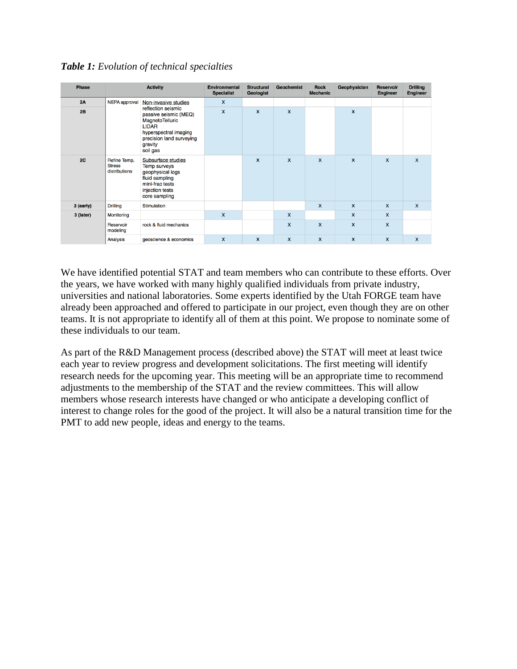| <b>Phase</b> | <b>Activity</b>                                |                                                                                                                                                                                    | <b>Environmental</b><br><b>Specialist</b> | <b>Structural</b><br><b>Geologist</b> | <b>Geochemist</b> | <b>Rock</b><br><b>Mechanic</b> | Geophysician | <b>Reservoir</b><br><b>Engineer</b> | <b>Drilling</b><br><b>Engineer</b> |
|--------------|------------------------------------------------|------------------------------------------------------------------------------------------------------------------------------------------------------------------------------------|-------------------------------------------|---------------------------------------|-------------------|--------------------------------|--------------|-------------------------------------|------------------------------------|
| 2A           | <b>NEPA</b> approval                           | Non-invasive studies<br>reflection seismic<br>passive seismic (MEQ)<br>MagnetoTelluric<br><b>LIDAR</b><br>hyperspectral imaging<br>precision land surveying<br>gravity<br>soil gas | $\mathsf{x}$                              |                                       |                   |                                |              |                                     |                                    |
| 2B           |                                                |                                                                                                                                                                                    | $\mathsf{x}$                              | $\mathsf{x}$                          | $\mathsf{x}$      |                                | $\mathsf{x}$ |                                     |                                    |
| 2C           | Refine Temp,<br><b>Stress</b><br>distributions | Subsurface studies<br><b>Temp surveys</b><br>geophysical logs<br>fluid sampling<br>mini-frac tests<br>injection tests<br>core sampling                                             |                                           | $\mathsf{x}$                          | $\mathsf{x}$      | X                              | $\mathsf{x}$ | $\mathbf{x}$                        | $\mathbf{x}$                       |
| 3 (early)    | <b>Drilling</b>                                | <b>Stimulation</b>                                                                                                                                                                 |                                           |                                       |                   | X                              | X            | $\mathbf{x}$                        | $\mathbf{x}$                       |
| 3 (later)    | Monitoring                                     |                                                                                                                                                                                    | $\mathsf{x}$                              |                                       | X                 |                                | X            | $\mathsf{x}$                        |                                    |
|              | Reservoir<br>modeling                          | rock & fluid mechanics                                                                                                                                                             |                                           |                                       | x                 | $\mathsf{x}$                   | $\mathsf{x}$ | $\mathsf{x}$                        |                                    |
|              | Analysis                                       | geoscience & economics                                                                                                                                                             | $\mathsf{x}$                              | $\mathsf{x}$                          | X                 | $\mathsf{x}$                   | $\mathsf{x}$ | $\mathsf{x}$                        | $\mathsf{x}$                       |

*Table 1: Evolution of technical specialties*

We have identified potential STAT and team members who can contribute to these efforts. Over the years, we have worked with many highly qualified individuals from private industry, universities and national laboratories. Some experts identified by the Utah FORGE team have already been approached and offered to participate in our project, even though they are on other teams. It is not appropriate to identify all of them at this point. We propose to nominate some of these individuals to our team.

As part of the R&D Management process (described above) the STAT will meet at least twice each year to review progress and development solicitations. The first meeting will identify research needs for the upcoming year. This meeting will be an appropriate time to recommend adjustments to the membership of the STAT and the review committees. This will allow members whose research interests have changed or who anticipate a developing conflict of interest to change roles for the good of the project. It will also be a natural transition time for the PMT to add new people, ideas and energy to the teams.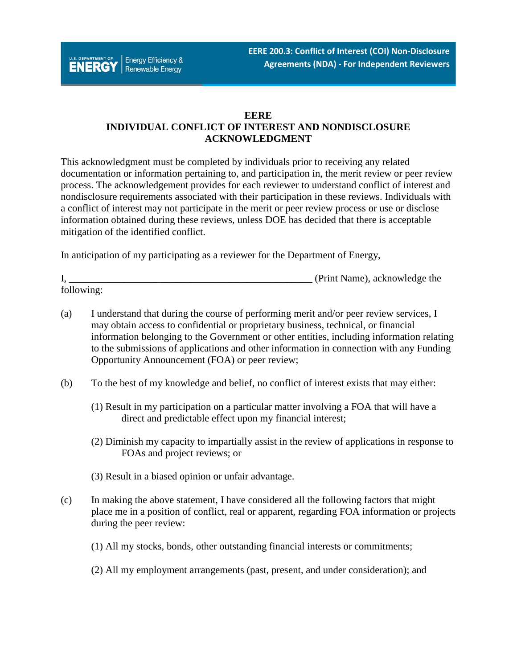

#### **EERE**

# **INDIVIDUAL CONFLICT OF INTEREST AND NONDISCLOSURE ACKNOWLEDGMENT**

This acknowledgment must be completed by individuals prior to receiving any related documentation or information pertaining to, and participation in, the merit review or peer review process. The acknowledgement provides for each reviewer to understand conflict of interest and nondisclosure requirements associated with their participation in these reviews. Individuals with a conflict of interest may not participate in the merit or peer review process or use or disclose information obtained during these reviews, unless DOE has decided that there is acceptable mitigation of the identified conflict.

In anticipation of my participating as a reviewer for the Department of Energy,

|            | (Print Name), acknowledge the |
|------------|-------------------------------|
| following: |                               |

- (a) I understand that during the course of performing merit and/or peer review services, I may obtain access to confidential or proprietary business, technical, or financial information belonging to the Government or other entities, including information relating to the submissions of applications and other information in connection with any Funding Opportunity Announcement (FOA) or peer review;
- (b) To the best of my knowledge and belief, no conflict of interest exists that may either:
	- (1) Result in my participation on a particular matter involving a FOA that will have a direct and predictable effect upon my financial interest;
	- (2) Diminish my capacity to impartially assist in the review of applications in response to FOAs and project reviews; or
	- (3) Result in a biased opinion or unfair advantage.
- (c) In making the above statement, I have considered all the following factors that might place me in a position of conflict, real or apparent, regarding FOA information or projects during the peer review:
	- (1) All my stocks, bonds, other outstanding financial interests or commitments;
	- (2) All my employment arrangements (past, present, and under consideration); and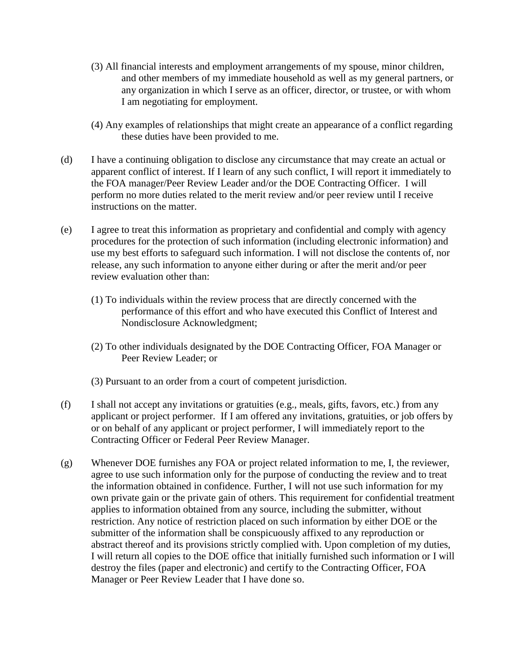- (3) All financial interests and employment arrangements of my spouse, minor children, and other members of my immediate household as well as my general partners, or any organization in which I serve as an officer, director, or trustee, or with whom I am negotiating for employment.
- (4) Any examples of relationships that might create an appearance of a conflict regarding these duties have been provided to me.
- (d) I have a continuing obligation to disclose any circumstance that may create an actual or apparent conflict of interest. If I learn of any such conflict, I will report it immediately to the FOA manager/Peer Review Leader and/or the DOE Contracting Officer. I will perform no more duties related to the merit review and/or peer review until I receive instructions on the matter.
- (e) I agree to treat this information as proprietary and confidential and comply with agency procedures for the protection of such information (including electronic information) and use my best efforts to safeguard such information. I will not disclose the contents of, nor release, any such information to anyone either during or after the merit and/or peer review evaluation other than:
	- (1) To individuals within the review process that are directly concerned with the performance of this effort and who have executed this Conflict of Interest and Nondisclosure Acknowledgment;
	- (2) To other individuals designated by the DOE Contracting Officer, FOA Manager or Peer Review Leader; or
	- (3) Pursuant to an order from a court of competent jurisdiction.
- (f) I shall not accept any invitations or gratuities (e.g., meals, gifts, favors, etc.) from any applicant or project performer. If I am offered any invitations, gratuities, or job offers by or on behalf of any applicant or project performer, I will immediately report to the Contracting Officer or Federal Peer Review Manager.
- (g) Whenever DOE furnishes any FOA or project related information to me, I, the reviewer, agree to use such information only for the purpose of conducting the review and to treat the information obtained in confidence. Further, I will not use such information for my own private gain or the private gain of others. This requirement for confidential treatment applies to information obtained from any source, including the submitter, without restriction. Any notice of restriction placed on such information by either DOE or the submitter of the information shall be conspicuously affixed to any reproduction or abstract thereof and its provisions strictly complied with. Upon completion of my duties, I will return all copies to the DOE office that initially furnished such information or I will destroy the files (paper and electronic) and certify to the Contracting Officer, FOA Manager or Peer Review Leader that I have done so.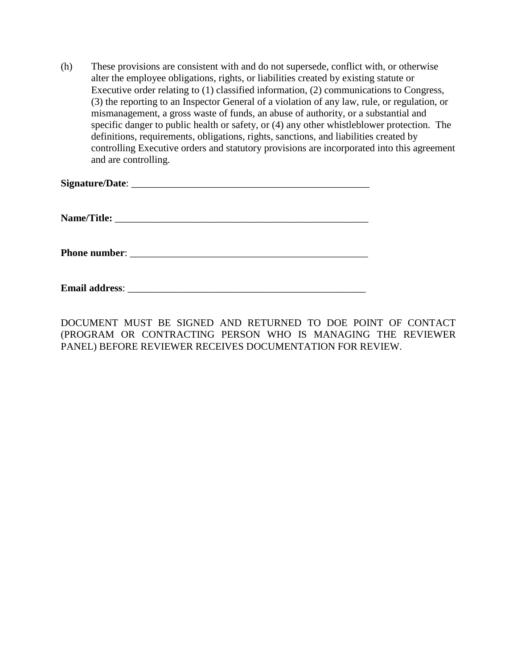(h) These provisions are consistent with and do not supersede, conflict with, or otherwise alter the employee obligations, rights, or liabilities created by existing statute or Executive order relating to (1) classified information, (2) communications to Congress, (3) the reporting to an Inspector General of a violation of any law, rule, or regulation, or mismanagement, a gross waste of funds, an abuse of authority, or a substantial and specific danger to public health or safety, or (4) any other whistleblower protection. The definitions, requirements, obligations, rights, sanctions, and liabilities created by controlling Executive orders and statutory provisions are incorporated into this agreement and are controlling.

**Email address**: \_\_\_\_\_\_\_\_\_\_\_\_\_\_\_\_\_\_\_\_\_\_\_\_\_\_\_\_\_\_\_\_\_\_\_\_\_\_\_\_\_\_\_\_\_\_\_

DOCUMENT MUST BE SIGNED AND RETURNED TO DOE POINT OF CONTACT (PROGRAM OR CONTRACTING PERSON WHO IS MANAGING THE REVIEWER PANEL) BEFORE REVIEWER RECEIVES DOCUMENTATION FOR REVIEW.